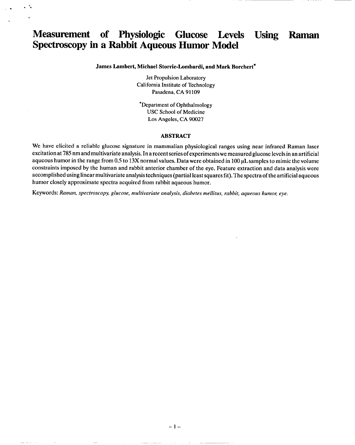# **Measurement of Physiologic Glucose Levels Using Raman Spectroscopy in a Rabbit Aqueous Humor Model**

 $\ddot{\phantom{0}}$   $\ddot{\phantom{0}}$ 

.

#### **James Lambert, Michael Storrie-Lombardi, and Mark Borchert"**

Jet Propulsion Laboratory California Institute of Technology Pasadena, CA 91109

\*Department of Ophthalmology USC School of Medicine Los Angeles, CA 90027

#### **ABSTRACT**

We have elicited a reliable glucose signature in mammalian physiological ranges using near infrared Raman laser excitation at **785** nm and multivariate analysis. In a reeent series of experiments we measured glucose levels in an artificial aqueous humor in the range from 0.5 to 13X normal values. Data were obtained in 100  $\mu$ L samples to mimic the volume constraints imposed by the human and rabbit anterior chamber of the eye, Feature extraction and data analysis were accomplished using linear multivariate analysis techniques (partial least squares fit). The spectra of the artificial aqueous humor closely approximate spectra acquired from rabbit aqueous humor.

Keywords: *Raman, spectroscopy, glucose, multivariate analysis, diabetes rnellitus, rabbit, aqueous humo~ eye.*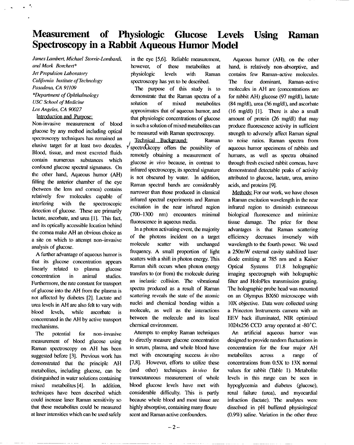# **Measurement of Physiologic Glucose** Levels Using Raman **Spectroscopy in a Rabbit Aqueous Humor Model**

*James Lumbert, Michael Storrie-Lombardi,*  $and$  *Mark Borchert\* Jet Propulsion Laboratory Calijomia Institute of Technology Pasadena, CA 91109 \*Depatiment of Ophthalmology USC School of Medicine Los Angeles*, *CA 90027* 

### Introduction and Purpose:

Non-invasive measurement of blood glucose by any method including optical spectroscopy techniques has remained an elusive target for at least two decades. Blood, tissue, and most excreted fluids contain numerous substances which confound glucose spectral signatures. On the other hand, Aqueous humor (AH) filling the anterior chamber of the eye (between the lens and cornea) contains relatively few molecules capable of interfering with the spectroscopic detection of glucose. These are primarily lactate, ascorbate, and urea [1]. This fact, and its optically accessible location behind the cornea make AH an obvious choice as a site on which to attempt non-invasive analysis of glucose.

A further advantage of aqueous humor is that its glucose concentration appears linearly related to plasma glucose concentration in animal studies. Furthermore, the rate constant for transport of glucose into the AH from the plasma is not affected by diabetes [2]. Lactate and urea levels in AH are also felt to vary with bled levels, while aseorbate is concentrated in the AH by active transport mechanisms.

The potential for non-invasive measurement of blood glucose using Raman spectroscopy on AH has been suggested before [3]. Previous work has demonstrated that the principle AH metabolites, including glucose, can be distinguished in water solutions containing mixed metabolites [4]. In addition, techniques have been described which could increase laser Rarnan sensitivity so that these metabolites could be measured at laser intensities which ean be used safely

in the eye [5,6]. Reliable measurement, however, of these metabolites at physiologic levels with Raman spectroscopy has yet to be described.

The purpose of this study is to demonstrate that the Raman spectra of a solution of mixed metabolites approximates that of aqueous humor, and that physiologic concentrations of glueosc in such a solution of mixed metabolites can be measured with Raman spectroscopy.

Technical Background: Raman  $\frac{y}{x}$  spectro $Q$  scopy offers the possibility of remotely obtaining a measurement of glucose *in vivo* because, in contrast to infrard spectroscopy, its spectral signature is not obscured by water. In addition, Raman spectral bands are considerably narrower than those produced in classical infrared speetral experiments and Raman excitation in the near infrared region (700-1300 nm) encounters minimal fluorescence in aqueous media,

In a photon activating event, the majority of the photons incident on a target molecule scatter with unchanged frequency. A small proportion of light scatters with a shift in photon energy. This Raman shiti occurs when photon energy transfers to (or from) the molecule during an inelastic collision. The vibrational spectra produced as a result of Raman scattering reveals the state of the atomic nuclei and chemical bonding within a molecule, as well as the interactions between the molecule and its local chemieal environment.

Attempts to employ Raman techniques to directly measure glucose concentration in serum, plasma, and whole blood have met with encouraging success *in vitro*  $[7,8]$ . However, efforts to utilize these (and other) techniques *in vivo* for transcutaneous measurement of whole blood glucose levels have met with considerable difficulty. This is partly because whole blood and most tissue are highly absorptive, containing many floure scent and Raman active confounders.

Aqueous humor (AH), on the other hand, is relatively non-absorptive, and contains few Raman-active molecules. The four dominant, Raman-active molecules in AH are (concentrations are for rabbit AH) glucose (97 mg/dl), lactate (84 mg/dl), urea (36 mg/dl), and ascorbate (16 mg/dl) [1]. There is also a small amount of protein (26 mg/dl) that may produce fluorescence activity in sufficient strength to adversely affect Raman signal to noise ratios. Raman spectra from aqueous humor specimens of rabbits and humans, as well as spectra obtained through fresh excised rabbit corneas, have demonstrated detectable peaks of activity attributed to glueosc, lactate, urea, amino aeids, and proteins [9].

Methods: For our work, we have chosen a Rarnan excitation wavelength in the near infrared region to diminish extraneous biological fluorescence and minimiz tissue damage. The price for these advantages is that Raman scattering efficiency decreases inversely with wavelength to the fourth power. We used a 250mW external cavity stabilized laser diode emitting at 785 nm and a Kaiser Optical Systems f/1.8 holographic imaging spectrograph with holographic filter and HoloPlex transmission grating. The holographic probe head was mounted on an Olympus BX60 microscope with IOX objective. Data were collected using a Princeton Instruments camera with an EEV back illuminated, NIR optimized I024x256 CCD array operated at -80"C.

An artificial aqueous humor was designed to provide random fluctuations in concentration for the four major AH metabcdites across a range of concentrations from 0.5X to 13X normal values for rabbit (Table 1). Metabolite levels in this range can be seen in hypoglycemia and diabetes (glucose), renal failure (urea), and myocardial infraction (lactate). The analytes were dissolved in pH buffered physiological (0.9%) saline. Variation in the other three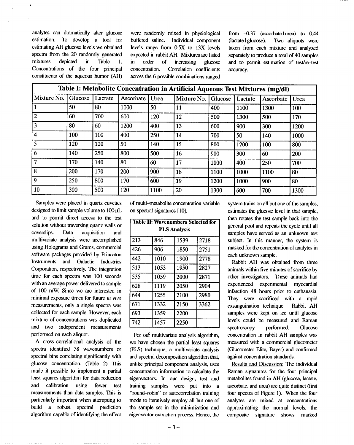spectra from the 20 randomly generated

.

analytes can dramatically alter glucose were randomly mixed in physiological from -0.37 (ascorbate lurea) to 0.44 estimation. To develop a tool for buffered saline. Individual component (lactate | glucose). Two aliquots were estimating AH glucose levels we obtained levels range from 0.5X to 13X levels taken from each mixture and analyzed expected in rabbit AH. Mixtures are listed separately to produce a total of 40 samples mixtures depicted in Table 1. in order of increasing glucose and to permit estimation of test/re-test Concentrations of the four principal concentration. Correlation coefficients accuracy.<br>
constituents of the aqueous humor (AH) across the 6 possible combinations ranged across the 6 possible combinations ranged

| Table I: Metabolite Concentration in Artificial Aqueous Test Mixtures (mg/dl) |         |         |           |      |             |         |         |           |      |
|-------------------------------------------------------------------------------|---------|---------|-----------|------|-------------|---------|---------|-----------|------|
| Mixture No.                                                                   | Glucose | Lactate | Ascorbate | Urea | Mixture No. | Glucose | Lactate | Ascorbate | Urea |
|                                                                               | 50      | 80      | 1000      | 50   | 11          | 400     | 1100    | 1300      | 100  |
| $\overline{2}$                                                                | 60      | 700     | 600       | 120  | 12          | 500     | 1300    | 500       | 170  |
| $\overline{3}$                                                                | 80      | 60      | 1200      | 400  | 13          | 600     | 900     | 300       | 1200 |
| $\overline{4}$                                                                | 100     | 100     | 400       | 250  | 14          | 700     | 50      | 140       | 1000 |
| $\overline{5}$                                                                | 120     | 120     | 50        | 140  | 15          | 800     | 1200    | 100       | 800  |
| 6                                                                             | 140     | 250     | 800       | 500  | 16          | 900     | 300     | 60        | 200  |
| $\overline{7}$                                                                | 170     | 140     | 80        | 60   | 17          | 1000    | 400     | 250       | 700  |
| 8                                                                             | 200     | 170     | 200       | 900  | 18          | 1100    | 1000    | 1100      | 80   |
| $\overline{9}$                                                                | 250     | 800     | 170       | 600  | 19          | 1200    | 1000    | 900       | 80   |
| 10                                                                            | 300     | 500     | 120       | 1100 | 20          | 1300    | 600     | 700       | 1300 |

Samples were placed in quartz cuvettes designed to limit sample volume to  $100 \mu L$ and to permit direct access to the test solution without traversing quartz walls or coverslips. Data acquisition and multi variate analysis were accomplished using Holograms and Grams, commercial software packages provided by Princeton Instruments and Galactic Industries Corporation, respectively. The integration time for each spectra was 100 seconds with an average power delivered to sample of 100 mW. Since we are interested in minimal exposure times for future in vivo measurements, only a single spectra was collected for each sample. However, each mixture of concentrations was duplicated and two independent measurements performed on each aliquot.

A cross-correlational analysis of the spectra identified 38 wavenumbers or spectral bins correlating significantly with glucose concentration. (Table 2) This made it possible to implement a partial least squares algorithm for data reduction and calibration using fewer test measurements than data samples. This is particularly important when attempting to build a robust spectral prediction algorithm capable of identifying the effect

of multi-metabolite concentration variable on spectral signatures [10].

| <b>Table II: Wavenumbers Selected for</b> |      |      |      |  |  |  |  |  |  |
|-------------------------------------------|------|------|------|--|--|--|--|--|--|
| <b>PLS Analysis</b>                       |      |      |      |  |  |  |  |  |  |
| 213                                       | 846  | 1539 | 2718 |  |  |  |  |  |  |
| 426                                       | 906  | 1850 | 2751 |  |  |  |  |  |  |
| 442                                       | 1010 | 1900 | 2778 |  |  |  |  |  |  |
| 513                                       | 1053 | 1950 | 2827 |  |  |  |  |  |  |
| 535                                       | 1059 | 2000 | 2871 |  |  |  |  |  |  |
| 628                                       | 1119 | 2050 | 2904 |  |  |  |  |  |  |
| 644                                       | 1255 | 2100 | 2980 |  |  |  |  |  |  |
| 671                                       | 1332 | 2150 | 3362 |  |  |  |  |  |  |
| 693                                       | 1359 | 2200 |      |  |  |  |  |  |  |
| 742                                       | 1457 | 2250 |      |  |  |  |  |  |  |

For ouf multivariate analysis algorithm, we have chosen the partial least squares (PLS) technique, a multivariate analysis and spectral decomposition algorithm that, unlike principal component analysis, uses concentration information to calculate the eigenvectors. In our design, test and training samples were put into a "round-robin" or autocorrelation training mode to iteratively employ all but one of the sample set in the minimization and eigenvector extraction process. Hence, the

system trains on all but one of the samples, estimates the glucose level in that sample, then rotates the test sample hack into the general pool and repeats the cycle until all samples have served as an unknown test subject. In this manner, the system is masked for the concentration of analytes in each unknown sample.

Rabbit AH was obtained from three animals within five minutes of sacrifice by other investigators. These animals had experienced experimental myocardial infarction 48 hours prior to euthanasia. They were sacrificed with a rapid exsanguination technique. Rabbit AH samples were kept on ice until glucose levels could be measured and Raman spectroscopy performed. Glucose concentration in rabbit AH samples was measured with a commercial glucometer (Glucometer Elite, Bayer) and confirmed against concentration standards.

Results and Discussion: The individual Raman signatures for the four principal metabolites found in AH (glucose, lactate, ascorbate, and urea) are quite distinct (first four spcetra of Figure 1). When the four analytes are mixed at concentrations approximating the normal levels, the composite signature shows marked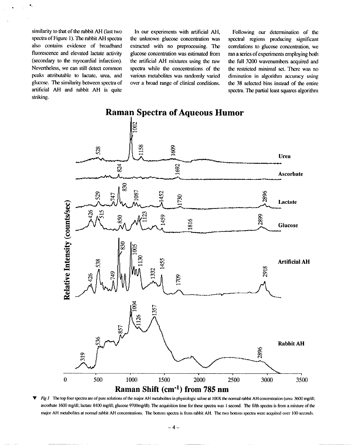similarity to that of the rabbit AH (last two spectra of Figure 1).The rabbit AH spectra also contains evidence of broadband fluorescence and elevated lactate activity (secondary to the myocardial infarction). Nevertheless, we can still detect common peaks attributable to lactate, urea, and glucose. The similarity between spectra of artificial AH and rabbit AH is quite striking.

In our experiments with artificial AH, the unknown glucose concentration was extracted with no preprocessing. The glucose concentration was estimated from the artificial AH mixtures using the raw spectra while the concentrations of the various metabolites was randomly varied over a broad range of clinical conditions.

Following our determination of the spectral regions producing significant correlations to glucose concentration, we ran a series of experiments employing both the full 3200 wavenumbers acquired and the restricted minimal set. There was no diminution in algorithm accuracy using the 38 selected bins instead of the entire spectra. The partial least squares algorithm



Fig 1 The top four spectra are of pure solutions of the major AH metabolites in physiologic saline at 100X the normal rabbit AH concentration (urea .3600 mg/dl; ascorbate 1600 mg/dl; lactate 8400 mg/dl; glucose 9700mg/dl). The acquisition time for these spectra was 1 second. The fifth spectra is from a mixture of the major AH metabolites at normal rabbit AH concentrations. The bottom spectra is from rabbit AH. The two bottom spectra were acquired over 100 seconds.